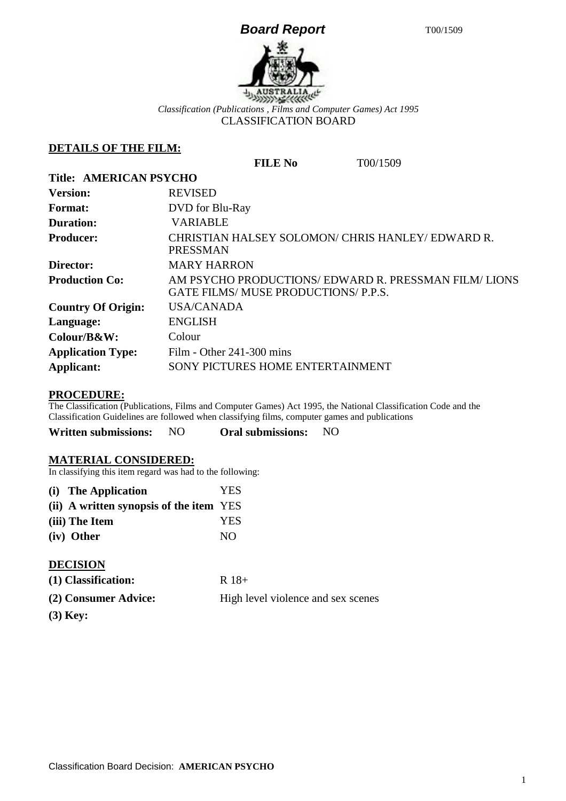# **Board Report** T00/1509



*Classification (Publications , Films and Computer Games) Act 1995* CLASSIFICATION BOARD

### **DETAILS OF THE FILM:**

**FILE No** T00/1509

| <b>Title: AMERICAN PSYCHO</b> |                                                                                           |  |  |  |
|-------------------------------|-------------------------------------------------------------------------------------------|--|--|--|
| <b>Version:</b>               | <b>REVISED</b>                                                                            |  |  |  |
| <b>Format:</b>                | DVD for Blu-Ray                                                                           |  |  |  |
| <b>Duration:</b>              | <b>VARIABLE</b>                                                                           |  |  |  |
| <b>Producer:</b>              | CHRISTIAN HALSEY SOLOMON/ CHRIS HANLEY/ EDWARD R.<br><b>PRESSMAN</b>                      |  |  |  |
| Director:                     | <b>MARY HARRON</b>                                                                        |  |  |  |
| <b>Production Co:</b>         | AM PSYCHO PRODUCTIONS/EDWARD R. PRESSMAN FILM/LIONS<br>GATE FILMS/MUSE PRODUCTIONS/P.P.S. |  |  |  |
| <b>Country Of Origin:</b>     | <b>USA/CANADA</b>                                                                         |  |  |  |
| Language:                     | <b>ENGLISH</b>                                                                            |  |  |  |
| Colour/B&W:                   | Colour                                                                                    |  |  |  |
| <b>Application Type:</b>      | Film - Other $241-300$ mins                                                               |  |  |  |
| Applicant:                    | SONY PICTURES HOME ENTERTAINMENT                                                          |  |  |  |

## **PROCEDURE:**

The Classification (Publications, Films and Computer Games) Act 1995, the National Classification Code and the Classification Guidelines are followed when classifying films, computer games and publications

| Written submissions: | NO. | <b>Oral submissions:</b> | NO |
|----------------------|-----|--------------------------|----|
|----------------------|-----|--------------------------|----|

#### **MATERIAL CONSIDERED:**

In classifying this item regard was had to the following:

| (i) The Application                     | <b>YES</b> |
|-----------------------------------------|------------|
| (ii) A written synopsis of the item YES |            |
| (iii) The Item                          | <b>YES</b> |
| (iv) Other                              | NO.        |

### **DECISION**

| (1) Classification: | $R$ 18+ |
|---------------------|---------|
|                     |         |

| (2) Consumer Advice: | High level violence and sex scenes |
|----------------------|------------------------------------|
|                      |                                    |

**(3) Key:**